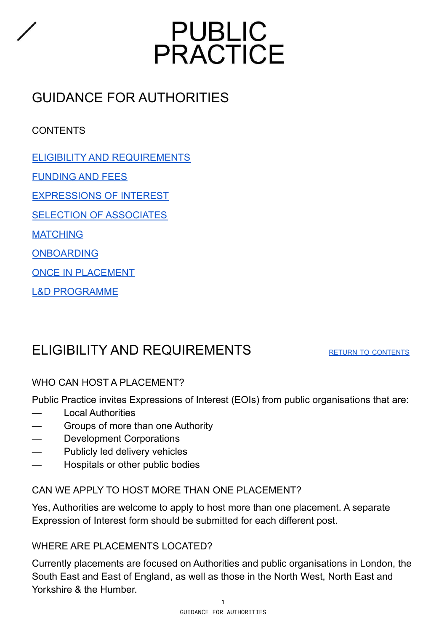

# GUIDANCE FOR AUTHORITIES

# <span id="page-0-1"></span>CONTENTS

- ELIGIBILITY AND [REQUIREMENTS](#page-0-0)
- [FUNDING](#page-1-0) AND FEES
- [EXPRESSIONS](#page-2-0) OF INTEREST

SELECTION OF [ASSOCIATES](#page-4-0)

**[MATCHING](#page-4-1)** 

[ONBOARDING](#page-5-0)

ONCE IN [PLACEMENT](#page-6-0)

L&D [PROGRAMME](#page-7-0)

# <span id="page-0-0"></span>ELIGIBILITY AND REQUIREMENTS RETURN TO [CONTENTS](#page-0-1)

# WHO CAN HOST A PLACEMENT?

Public Practice invites Expressions of Interest (EOIs) from public organisations that are:

- **Local Authorities**
- Groups of more than one Authority
- Development Corporations
- Publicly led delivery vehicles
- Hospitals or other public bodies

# CAN WE APPLY TO HOST MORE THAN ONE PLACEMENT?

Yes, Authorities are welcome to apply to host more than one placement. A separate Expression of Interest form should be submitted for each different post.

# WHERE ARE PLACEMENTS LOCATED?

Currently placements are focused on Authorities and public organisations in London, the South East and East of England, as well as those in the North West, North East and Yorkshire & the Humber.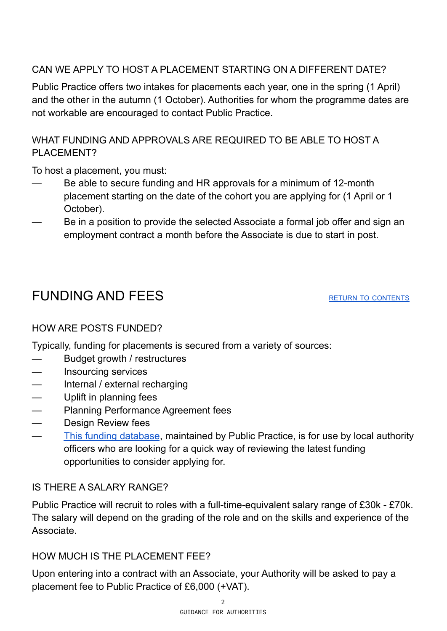# CAN WE APPLY TO HOST A PLACEMENT STARTING ON A DIFFERENT DATE?

Public Practice offers two intakes for placements each year, one in the spring (1 April) and the other in the autumn (1 October). Authorities for whom the programme dates are not workable are encouraged to contact Public Practice.

# WHAT FUNDING AND APPROVALS ARE REQUIRED TO BE ABLE TO HOST A PI ACFMENT?

To host a placement, you must:

- Be able to secure funding and HR approvals for a minimum of 12-month placement starting on the date of the cohort you are applying for (1 April or 1 October).
- Be in a position to provide the selected Associate a formal job offer and sign an employment contract a month before the Associate is due to start in post.

# <span id="page-1-0"></span>FUNDING AND FEES RETURN TO [CONTENTS](#page-0-1)

# HOW ARE POSTS FUNDED?

Typically, funding for placements is secured from a variety of sources:

- Budget growth / restructures
- Insourcing services
- Internal / external recharging
- Uplift in planning fees
- Planning Performance Agreement fees
- Design Review fees
- This funding [database](https://docs.google.com/spreadsheets/d/1RZLjePzYnFFCKFU_m_OBjWnSn312FslDQcDNfhaIpok/edit?usp=sharing), maintained by Public Practice, is for use by local authority officers who are looking for a quick way of reviewing the latest funding opportunities to consider applying for.

# IS THERE A SALARY RANGE?

Public Practice will recruit to roles with a full-time-equivalent salary range of £30k - £70k. The salary will depend on the grading of the role and on the skills and experience of the **Associate** 

# HOW MUCH IS THE PLACEMENT FFE?

Upon entering into a contract with an Associate, your Authority will be asked to pay a placement fee to Public Practice of £6,000 (+VAT).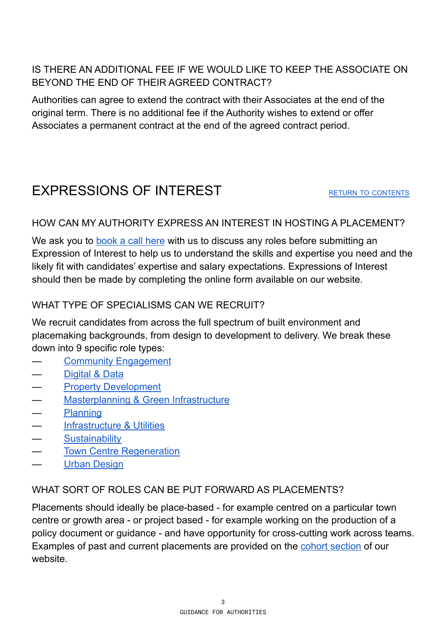# IS THERE AN ADDITIONAL FEE IF WE WOULD LIKE TO KEEP THE ASSOCIATE ON BEYOND THE END OF THEIR AGREED CONTRACT?

Authorities can agree to extend the contract with their Associates at the end of the original term. There is no additional fee if the Authority wishes to extend or offer Associates a permanent contract at the end of the agreed contract period.

# <span id="page-2-0"></span>EXPRESSIONS OF INTEREST RETURN TO [CONTENTS](#page-0-1)

#### HOW CAN MY AUTHORITY EXPRESS AN INTEREST IN HOSTING A PLACEMENT?

We ask you to [book](https://calendly.com/public-practice/) a call here with us to discuss any roles before submitting an Expression of Interest to help us to understand the skills and expertise you need and the likely fit with candidates' expertise and salary expectations. Expressions of Interest should then be made by completing the online form available on our website.

# WHAT TYPE OF SPECIALISMS CAN WE RECRUIT?

We recruit candidates from across the full spectrum of built environment and placemaking backgrounds, from design to development to delivery. We break these down into 9 specific role types:

- **Community [Engagement](https://www.publicpractice.org.uk/placements/community-engagement-participation)**
- [Digital](https://www.publicpractice.org.uk/placements/digital-data) & Data
- **Property [Development](https://www.publicpractice.org.uk/placements/property-development)**
- **[Masterplanning](https://www.publicpractice.org.uk/placements/landscape-architecture) & Green Infrastructure**
- [Planning](https://www.publicpractice.org.uk/placements/planning-policy)
- [Infrastructure](https://www.publicpractice.org.uk/placements/infrastructure-utilities) & Utilities
- **[Sustainability](https://www.publicpractice.org.uk/placements/environmental-sustainability)**
- **Town Centre [Regeneration](https://www.publicpractice.org.uk/placements/regeneration-economic-development)**
- Urban [Design](https://www.publicpractice.org.uk/placements/architecture-ud-masterplanning)

#### WHAT SORT OF ROLES CAN BE PUT FORWARD AS PLACEMENTS?

Placements should ideally be place-based - for example centred on a particular town centre or growth area - or project based - for example working on the production of a policy document or guidance - and have opportunity for cross-cutting work across teams. Examples of past and current placements are provided on the cohort [section](https://www.publicpractice.org.uk/associates/associates-alumni) of our website.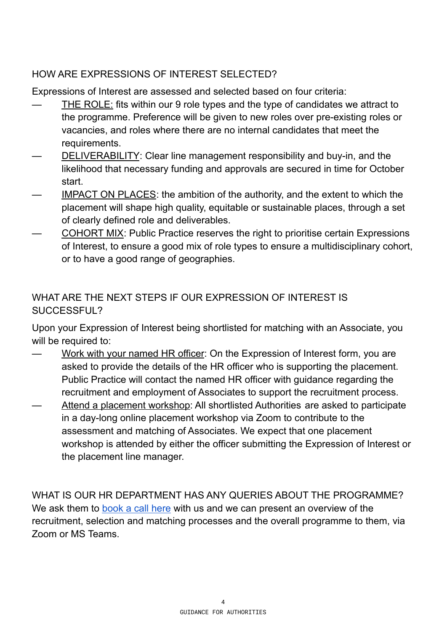# HOW ARE EXPRESSIONS OF INTEREST SELECTED?

Expressions of Interest are assessed and selected based on four criteria:

- THE ROLE: fits within our 9 role types and the type of candidates we attract to the programme. Preference will be given to new roles over pre-existing roles or vacancies, and roles where there are no internal candidates that meet the requirements.
- DELIVERABILITY: Clear line management responsibility and buy-in, and the likelihood that necessary funding and approvals are secured in time for October start.
- IMPACT ON PLACES: the ambition of the authority, and the extent to which the placement will shape high quality, equitable or sustainable places, through a set of clearly defined role and deliverables.
- COHORT MIX: Public Practice reserves the right to prioritise certain Expressions of Interest, to ensure a good mix of role types to ensure a multidisciplinary cohort, or to have a good range of geographies.

# WHAT ARE THE NEXT STEPS IF OUR EXPRESSION OF INTEREST IS SUCCESSFUL?

Upon your Expression of Interest being shortlisted for matching with an Associate, you will be required to:

- Work with your named HR officer: On the Expression of Interest form, you are asked to provide the details of the HR officer who is supporting the placement. Public Practice will contact the named HR officer with guidance regarding the recruitment and employment of Associates to support the recruitment process.
- Attend a placement workshop: All shortlisted Authorities are asked to participate in a day-long online placement workshop via Zoom to contribute to the assessment and matching of Associates. We expect that one placement workshop is attended by either the officer submitting the Expression of Interest or the placement line manager.

WHAT IS OUR HR DEPARTMENT HAS ANY QUERIES ABOUT THE PROGRAMME? We ask them to [book](https://calendly.com/public-practice/authority-hr-call?month=2022-04) a call here with us and we can present an overview of the recruitment, selection and matching processes and the overall programme to them, via Zoom or MS Teams.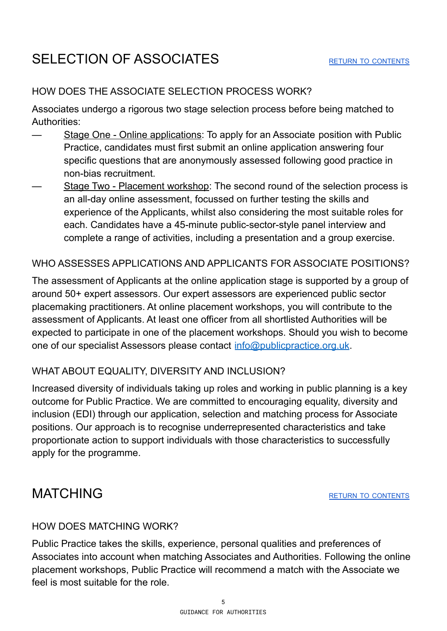### <span id="page-4-0"></span>HOW DOES THE ASSOCIATE SELECTION PROCESS WORK?

Associates undergo a rigorous two stage selection process before being matched to Authorities:

- Stage One Online applications: To apply for an Associate position with Public Practice, candidates must first submit an online application answering four specific questions that are anonymously assessed following good practice in non-bias recruitment.
- Stage Two Placement workshop: The second round of the selection process is an all-day online assessment, focussed on further testing the skills and experience of the Applicants, whilst also considering the most suitable roles for each. Candidates have a 45-minute public-sector-style panel interview and complete a range of activities, including a presentation and a group exercise.

#### WHO ASSESSES APPLICATIONS AND APPLICANTS FOR ASSOCIATE POSITIONS?

The assessment of Applicants at the online application stage is supported by a group of around 50+ expert assessors. Our expert assessors are experienced public sector placemaking practitioners. At online placement workshops, you will contribute to the assessment of Applicants. At least one officer from all shortlisted Authorities will be expected to participate in one of the placement workshops. Should you wish to become one of our specialist Assessors please contact [info@publicpractice.org.uk](mailto:info@publicpractice.org.uk).

# WHAT ABOUT EQUALITY, DIVERSITY AND INCLUSION?

Increased diversity of individuals taking up roles and working in public planning is a key outcome for Public Practice. We are committed to encouraging equality, diversity and inclusion (EDI) through our application, selection and matching process for Associate positions. Our approach is to recognise underrepresented characteristics and take proportionate action to support individuals with those characteristics to successfully apply for the programme.

# <span id="page-4-1"></span>MATCHING THE RETURN TO [CONTENTS](#page-0-1)

#### HOW DOES MATCHING WORK?

Public Practice takes the skills, experience, personal qualities and preferences of Associates into account when matching Associates and Authorities. Following the online placement workshops, Public Practice will recommend a match with the Associate we feel is most suitable for the role.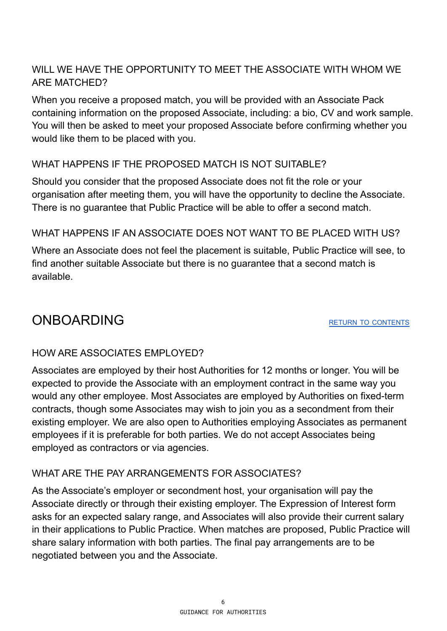# WILL WE HAVE THE OPPORTUNITY TO MEET THE ASSOCIATE WITH WHOM WE ARE MATCHED?

When you receive a proposed match, you will be provided with an Associate Pack containing information on the proposed Associate, including: a bio, CV and work sample. You will then be asked to meet your proposed Associate before confirming whether you would like them to be placed with you.

# WHAT HAPPENS IF THE PROPOSED MATCH IS NOT SUITABLE?

Should you consider that the proposed Associate does not fit the role or your organisation after meeting them, you will have the opportunity to decline the Associate. There is no guarantee that Public Practice will be able to offer a second match.

# WHAT HAPPENS IF AN ASSOCIATE DOES NOT WANT TO BE PLACED WITH US?

Where an Associate does not feel the placement is suitable, Public Practice will see, to find another suitable Associate but there is no guarantee that a second match is available.

# <span id="page-5-0"></span>ONBOARDING THE RETURN TO [CONTENTS](#page-0-1)

# HOW ARE ASSOCIATES EMPLOYED?

Associates are employed by their host Authorities for 12 months or longer. You will be expected to provide the Associate with an employment contract in the same way you would any other employee. Most Associates are employed by Authorities on fixed-term contracts, though some Associates may wish to join you as a secondment from their existing employer. We are also open to Authorities employing Associates as permanent employees if it is preferable for both parties. We do not accept Associates being employed as contractors or via agencies.

# WHAT ARE THE PAY ARRANGEMENTS FOR ASSOCIATES?

As the Associate's employer or secondment host, your organisation will pay the Associate directly or through their existing employer. The Expression of Interest form asks for an expected salary range, and Associates will also provide their current salary in their applications to Public Practice. When matches are proposed, Public Practice will share salary information with both parties. The final pay arrangements are to be negotiated between you and the Associate.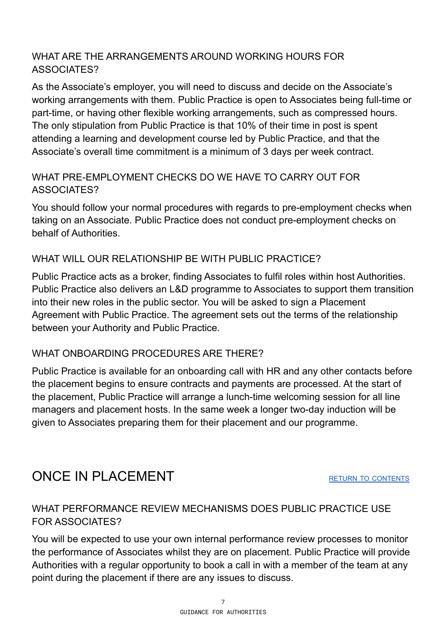# WHAT ARE THE ARRANGEMENTS AROUND WORKING HOURS FOR ASSOCIATES?

As the Associate's employer, you will need to discuss and decide on the Associate's working arrangements with them. Public Practice is open to Associates being full-time or part-time, or having other flexible working arrangements, such as compressed hours. The only stipulation from Public Practice is that 10% of their time in post is spent attending a learning and development course led by Public Practice, and that the Associate's overall time commitment is a minimum of 3 days per week contract.

# WHAT PRE-EMPLOYMENT CHECKS DO WE HAVE TO CARRY OUT FOR ASSOCIATES?

You should follow your normal procedures with regards to pre-employment checks when taking on an Associate. Public Practice does not conduct pre-employment checks on behalf of Authorities.

# WHAT WILL OUR RELATIONSHIP BE WITH PUBLIC PRACTICE?

Public Practice acts as a broker, finding Associates to fulfil roles within host Authorities. Public Practice also delivers an L&D programme to Associates to support them transition into their new roles in the public sector. You will be asked to sign a Placement Agreement with Public Practice. The agreement sets out the terms of the relationship between your Authority and Public Practice.

# WHAT ONBOARDING PROCEDURES ARE THERE?

Public Practice is available for an onboarding call with HR and any other contacts before the placement begins to ensure contracts and payments are processed. At the start of the placement, Public Practice will arrange a lunch-time welcoming session for all line managers and placement hosts. In the same week a longer two-day induction will be given to Associates preparing them for their placement and our programme.

# <span id="page-6-0"></span>ONCE IN PLACEMENT **EXECUTED A RETURN TO [CONTENTS](#page-0-1)**

# WHAT PERFORMANCE REVIEW MECHANISMS DOES PUBLIC PRACTICE USE FOR ASSOCIATES?

You will be expected to use your own internal performance review processes to monitor the performance of Associates whilst they are on placement. Public Practice will provide Authorities with a regular opportunity to book a call in with a member of the team at any point during the placement if there are any issues to discuss.